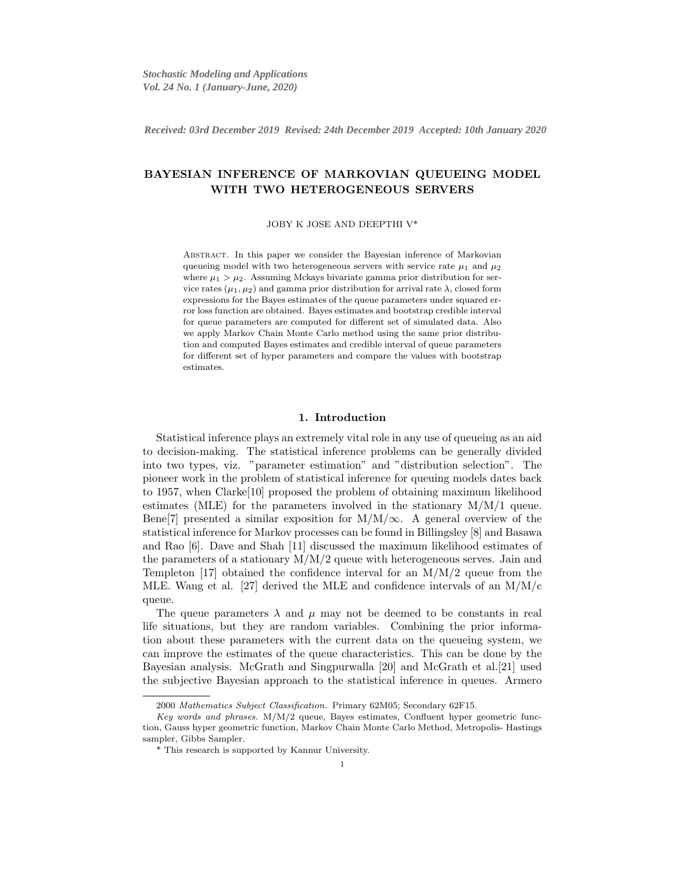*Received: 03rd December 2019 Revised: 24th December 2019 Accepted: 10th January April 2020 Received: 03rd December 2019 Revised: 24th December 2019 Accepted: 10th January 2020*

# BAYESIAN INFERENCE OF MARKOVIAN QUEUEING MODEL WITH TWO HETEROGENEOUS SERVERS

JOBY K JOSE AND DEEPTHI V\*

Abstract. In this paper we consider the Bayesian inference of Markovian queueing model with two heterogeneous servers with service rate  $\mu_1$  and  $\mu_2$ where  $\mu_1 > \mu_2$ . Assuming Mckays bivariate gamma prior distribution for service rates  $(\mu_1, \mu_2)$  and gamma prior distribution for arrival rate  $\lambda$ , closed form expressions for the Bayes estimates of the queue parameters under squared error loss function are obtained. Bayes estimates and bootstrap credible interval for queue parameters are computed for different set of simulated data. Also we apply Markov Chain Monte Carlo method using the same prior distribution and computed Bayes estimates and credible interval of queue parameters for different set of hyper parameters and compare the values with bootstrap estimates.

## 1. Introduction

Statistical inference plays an extremely vital role in any use of queueing as an aid to decision-making. The statistical inference problems can be generally divided into two types, viz. "parameter estimation" and "distribution selection". The pioneer work in the problem of statistical inference for queuing models dates back to 1957, when Clarke[10] proposed the problem of obtaining maximum likelihood estimates (MLE) for the parameters involved in the stationary  $M/M/1$  queue. Bene[7] presented a similar exposition for  $M/M/\infty$ . A general overview of the statistical inference for Markov processes can be found in Billingsley [8] and Basawa and Rao [6]. Dave and Shah [11] discussed the maximum likelihood estimates of the parameters of a stationary  $M/M/2$  queue with heterogeneous serves. Jain and Templeton [17] obtained the confidence interval for an  $M/M/2$  queue from the MLE. Wang et al. [27] derived the MLE and confidence intervals of an  $M/M/c$ queue.

The queue parameters  $\lambda$  and  $\mu$  may not be deemed to be constants in real life situations, but they are random variables. Combining the prior information about these parameters with the current data on the queueing system, we can improve the estimates of the queue characteristics. This can be done by the Bayesian analysis. McGrath and Singpurwalla [20] and McGrath et al.[21] used the subjective Bayesian approach to the statistical inference in queues. Armero

<sup>2000</sup> Mathematics Subject Classification. Primary 62M05; Secondary 62F15.

Key words and phrases.  $M/M/2$  queue, Bayes estimates, Confluent hyper geometric function, Gauss hyper geometric function, Markov Chain Monte Carlo Method, Metropolis- Hastings sampler, Gibbs Sampler.

<sup>\*</sup> This research is supported by Kannur University.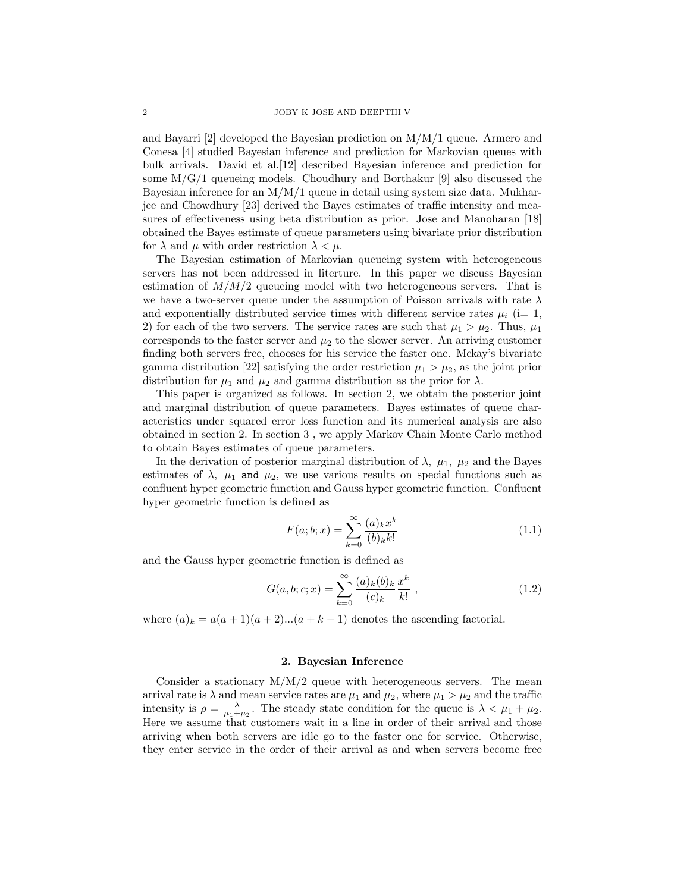and Bayarri [2] developed the Bayesian prediction on M/M/1 queue. Armero and Conesa [4] studied Bayesian inference and prediction for Markovian queues with bulk arrivals. David et al.[12] described Bayesian inference and prediction for some  $M/G/1$  queueing models. Choudhury and Borthakur [9] also discussed the Bayesian inference for an  $M/M/1$  queue in detail using system size data. Mukharjee and Chowdhury [23] derived the Bayes estimates of traffic intensity and measures of effectiveness using beta distribution as prior. Jose and Manoharan [18] obtained the Bayes estimate of queue parameters using bivariate prior distribution for  $\lambda$  and  $\mu$  with order restriction  $\lambda < \mu$ .

The Bayesian estimation of Markovian queueing system with heterogeneous servers has not been addressed in literture. In this paper we discuss Bayesian estimation of  $M/M/2$  queueing model with two heterogeneous servers. That is we have a two-server queue under the assumption of Poisson arrivals with rate  $\lambda$ and exponentially distributed service times with different service rates  $\mu_i$  (i= 1, 2) for each of the two servers. The service rates are such that  $\mu_1 > \mu_2$ . Thus,  $\mu_1$ corresponds to the faster server and  $\mu_2$  to the slower server. An arriving customer finding both servers free, chooses for his service the faster one. Mckay's bivariate gamma distribution [22] satisfying the order restriction  $\mu_1 > \mu_2$ , as the joint prior distribution for  $\mu_1$  and  $\mu_2$  and gamma distribution as the prior for  $\lambda$ .

This paper is organized as follows. In section 2, we obtain the posterior joint and marginal distribution of queue parameters. Bayes estimates of queue characteristics under squared error loss function and its numerical analysis are also obtained in section 2. In section 3 , we apply Markov Chain Monte Carlo method to obtain Bayes estimates of queue parameters.

In the derivation of posterior marginal distribution of  $\lambda$ ,  $\mu_1$ ,  $\mu_2$  and the Bayes estimates of  $\lambda$ ,  $\mu_1$  and  $\mu_2$ , we use various results on special functions such as confluent hyper geometric function and Gauss hyper geometric function. Confluent hyper geometric function is defined as

$$
F(a; b; x) = \sum_{k=0}^{\infty} \frac{(a)_k x^k}{(b)_k k!}
$$
 (1.1)

and the Gauss hyper geometric function is defined as

$$
G(a, b; c; x) = \sum_{k=0}^{\infty} \frac{(a)_k (b)_k}{(c)_k} \frac{x^k}{k!} ,
$$
 (1.2)

where  $(a)_k = a(a+1)(a+2)...(a+k-1)$  denotes the ascending factorial.

## 2. Bayesian Inference

Consider a stationary  $M/M/2$  queue with heterogeneous servers. The mean arrival rate is  $\lambda$  and mean service rates are  $\mu_1$  and  $\mu_2$ , where  $\mu_1 > \mu_2$  and the traffic intensity is  $\rho = \frac{\lambda}{\mu_1 + \mu_2}$ . The steady state condition for the queue is  $\lambda < \mu_1 + \mu_2$ . Here we assume that customers wait in a line in order of their arrival and those arriving when both servers are idle go to the faster one for service. Otherwise, they enter service in the order of their arrival as and when servers become free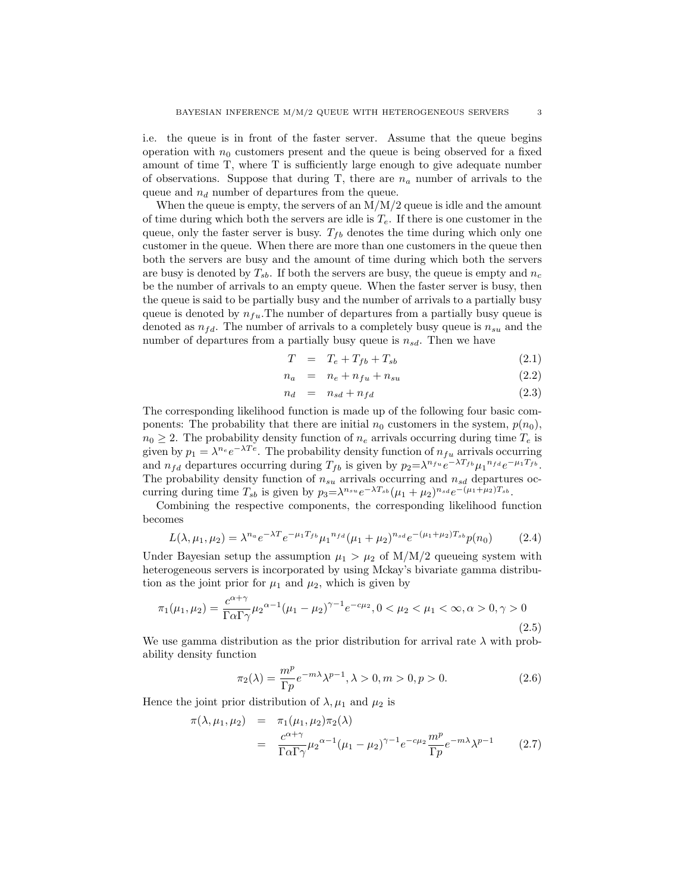i.e. the queue is in front of the faster server. Assume that the queue begins operation with  $n_0$  customers present and the queue is being observed for a fixed amount of time T, where T is sufficiently large enough to give adequate number of observations. Suppose that during T, there are  $n_a$  number of arrivals to the queue and  $n_d$  number of departures from the queue.

When the queue is empty, the servers of an  $M/M/2$  queue is idle and the amount of time during which both the servers are idle is  $T_e$ . If there is one customer in the queue, only the faster server is busy.  $T_{fb}$  denotes the time during which only one customer in the queue. When there are more than one customers in the queue then both the servers are busy and the amount of time during which both the servers are busy is denoted by  $T_{sb}$ . If both the servers are busy, the queue is empty and  $n_c$ be the number of arrivals to an empty queue. When the faster server is busy, then the queue is said to be partially busy and the number of arrivals to a partially busy queue is denoted by  $n_{fu}$ . The number of departures from a partially busy queue is denoted as  $n_{fd}$ . The number of arrivals to a completely busy queue is  $n_{su}$  and the number of departures from a partially busy queue is  $n_{sd}$ . Then we have

$$
T = T_e + T_{fb} + T_{sb} \tag{2.1}
$$

$$
n_a = n_e + n_{fu} + n_{su} \tag{2.2}
$$

$$
n_d = n_{sd} + n_{fd} \tag{2.3}
$$

The corresponding likelihood function is made up of the following four basic components: The probability that there are initial  $n_0$  customers in the system,  $p(n_0)$ ,  $n_0 \geq 2$ . The probability density function of  $n_e$  arrivals occurring during time  $T_e$  is given by  $p_1 = \lambda^{n_e} e^{-\lambda Te}$ . The probability density function of  $n_{fu}$  arrivals occurring and  $n_{fd}$  departures occurring during  $T_{fb}$  is given by  $p_2 = \lambda^{n_{fu}} e^{-\lambda T_{fb}} \mu_1^{n_{fd}} e^{-\mu_1 T_{fb}}$ . The probability density function of  $n_{su}$  arrivals occurring and  $n_{sd}$  departures occurring during time  $T_{sb}$  is given by  $p_3 = \lambda^{n_{su}} e^{-\lambda T_{sb}} (\mu_1 + \mu_2)^{n_{sd}} e^{-(\mu_1 + \mu_2)T_{sb}}$ .

Combining the respective components, the corresponding likelihood function becomes

$$
L(\lambda, \mu_1, \mu_2) = \lambda^{n_a} e^{-\lambda T} e^{-\mu_1 T_{fb}} \mu_1^{n_{fd}} (\mu_1 + \mu_2)^{n_{sd}} e^{-(\mu_1 + \mu_2) T_{sb}} p(n_0)
$$
(2.4)

Under Bayesian setup the assumption  $\mu_1 > \mu_2$  of M/M/2 queueing system with heterogeneous servers is incorporated by using Mckay's bivariate gamma distribution as the joint prior for  $\mu_1$  and  $\mu_2$ , which is given by

$$
\pi_1(\mu_1, \mu_2) = \frac{c^{\alpha + \gamma}}{\Gamma \alpha \Gamma \gamma} \mu_2^{\alpha - 1} (\mu_1 - \mu_2)^{\gamma - 1} e^{-c\mu_2}, 0 < \mu_2 < \mu_1 < \infty, \alpha > 0, \gamma > 0
$$
\n(2.5)

We use gamma distribution as the prior distribution for arrival rate  $\lambda$  with probability density function

$$
\pi_2(\lambda) = \frac{m^p}{\Gamma p} e^{-m\lambda} \lambda^{p-1}, \lambda > 0, m > 0, p > 0.
$$
 (2.6)

Hence the joint prior distribution of  $\lambda, \mu_1$  and  $\mu_2$  is

$$
\pi(\lambda, \mu_1, \mu_2) = \pi_1(\mu_1, \mu_2) \pi_2(\lambda)
$$
  
= 
$$
\frac{c^{\alpha + \gamma}}{\Gamma \alpha \Gamma \gamma} \mu_2^{\alpha - 1} (\mu_1 - \mu_2)^{\gamma - 1} e^{-c\mu_2} \frac{m^p}{\Gamma p} e^{-m\lambda} \lambda^{p-1}
$$
 (2.7)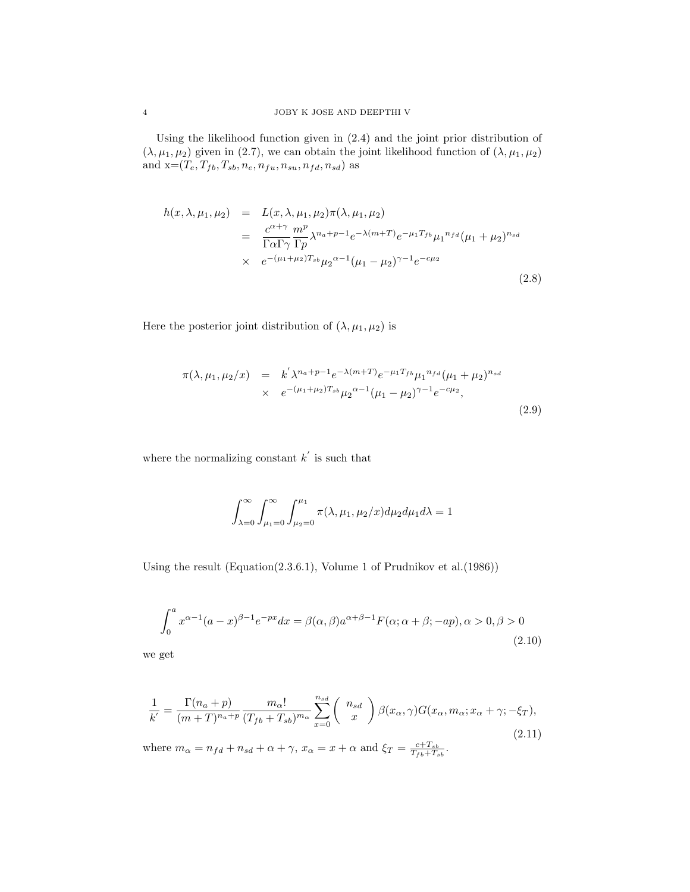Using the likelihood function given in (2.4) and the joint prior distribution of  $(\lambda, \mu_1, \mu_2)$  given in (2.7), we can obtain the joint likelihood function of  $(\lambda, \mu_1, \mu_2)$ and  $\mathbf{x} = (T_e, T_{fb}, T_{sb}, n_e, n_{fu}, n_{su}, n_{fd}, n_{sd})$  as

$$
h(x, \lambda, \mu_1, \mu_2) = L(x, \lambda, \mu_1, \mu_2) \pi(\lambda, \mu_1, \mu_2)
$$
  
= 
$$
\frac{c^{\alpha + \gamma}}{\Gamma \alpha \Gamma \gamma} \frac{m^p}{\Gamma p} \lambda^{n_a + p - 1} e^{-\lambda (m + T)} e^{-\mu_1 T_{fb}} \mu_1^{n_{fd}} (\mu_1 + \mu_2)^{n_{sd}}
$$
  
× 
$$
e^{-(\mu_1 + \mu_2) T_{sb}} \mu_2^{\alpha - 1} (\mu_1 - \mu_2)^{\gamma - 1} e^{-c\mu_2}
$$
(2.8)

Here the posterior joint distribution of  $(\lambda, \mu_1, \mu_2)$  is

$$
\pi(\lambda, \mu_1, \mu_2/x) = k' \lambda^{n_a + p - 1} e^{-\lambda (m + T)} e^{-\mu_1 T_{fb}} \mu_1^{n_f d} (\mu_1 + \mu_2)^{n_{sd}} \times e^{-(\mu_1 + \mu_2) T_{sb}} \mu_2^{\alpha - 1} (\mu_1 - \mu_2)^{\gamma - 1} e^{-c \mu_2},
$$
\n(2.9)

where the normalizing constant  $k^{'}$  is such that

$$
\int_{\lambda=0}^{\infty} \int_{\mu_1=0}^{\infty} \int_{\mu_2=0}^{\mu_1} \pi(\lambda, \mu_1, \mu_2/x) d\mu_2 d\mu_1 d\lambda = 1
$$

Using the result (Equation(2.3.6.1), Volume 1 of Prudnikov et al.(1986))

$$
\int_0^a x^{\alpha-1}(a-x)^{\beta-1}e^{-px}dx = \beta(\alpha,\beta)a^{\alpha+\beta-1}F(\alpha;\alpha+\beta;-ap), \alpha > 0, \beta > 0
$$
\n(2.10)

we get

$$
\frac{1}{k'} = \frac{\Gamma(n_a + p)}{(m + T)^{n_a + p}} \frac{m_\alpha!}{(T_{fb} + T_{sb})^{m_\alpha}} \sum_{x=0}^{n_{sd}} \binom{n_{sd}}{x} \beta(x_\alpha, \gamma) G(x_\alpha, m_\alpha; x_\alpha + \gamma; -\xi_T),
$$
\n(2.11)

where  $m_{\alpha} = n_{fd} + n_{sd} + \alpha + \gamma$ ,  $x_{\alpha} = x + \alpha$  and  $\xi_T = \frac{c + T_{sb}}{T_{fb} + T_{sb}}$ .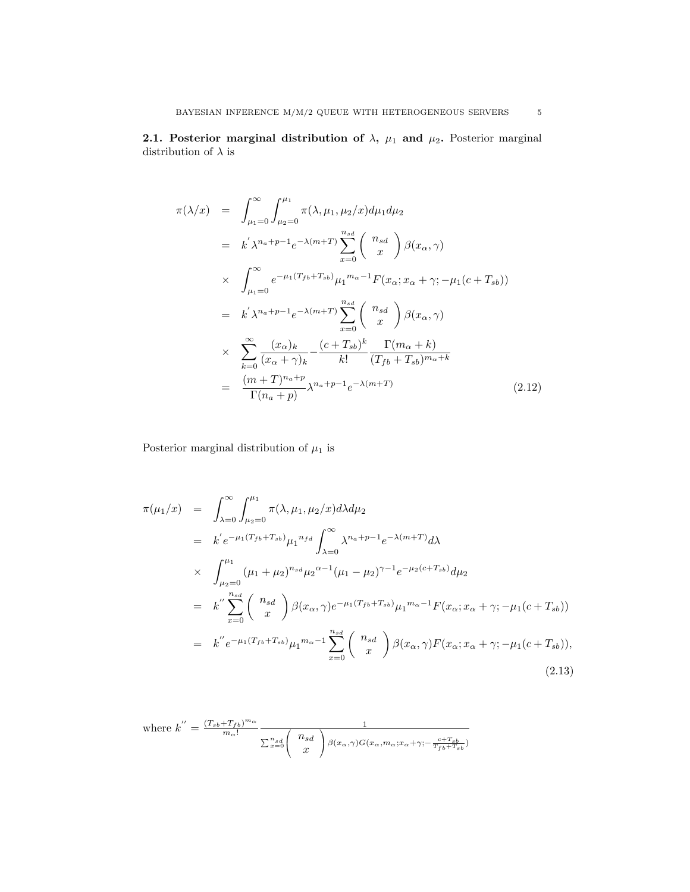$$
\pi(\lambda/x) = \int_{\mu_1=0}^{\infty} \int_{\mu_2=0}^{\mu_1} \pi(\lambda, \mu_1, \mu_2/x) d\mu_1 d\mu_2
$$
  
\n
$$
= k' \lambda^{n_a+p-1} e^{-\lambda(m+T)} \sum_{x=0}^{n_{sd}} {n_{sd} \choose x} \beta(x_\alpha, \gamma)
$$
  
\n
$$
\times \int_{\mu_1=0}^{\infty} e^{-\mu_1(T_{fb}+T_{sb})} \mu_1^{m_\alpha-1} F(x_\alpha; x_\alpha + \gamma; -\mu_1(c+T_{sb}))
$$
  
\n
$$
= k' \lambda^{n_a+p-1} e^{-\lambda(m+T)} \sum_{x=0}^{n_{sd}} {n_{sd} \choose x} \beta(x_\alpha, \gamma)
$$
  
\n
$$
\times \sum_{k=0}^{\infty} \frac{(x_\alpha)_k}{(x_\alpha + \gamma)_k} - \frac{(c+T_{sb})^k}{k!} \frac{\Gamma(m_\alpha + k)}{(T_{fb}+T_{sb})^{m_\alpha+k}}
$$
  
\n
$$
= \frac{(m+T)^{n_a+p}}{\Gamma(n_a+p)} \lambda^{n_a+p-1} e^{-\lambda(m+T)}
$$
(2.12)

Posterior marginal distribution of  $\mu_1$  is

$$
\pi(\mu_1/x) = \int_{\lambda=0}^{\infty} \int_{\mu_2=0}^{\mu_1} \pi(\lambda, \mu_1, \mu_2/x) d\lambda d\mu_2
$$
  
\n
$$
= k' e^{-\mu_1(T_{fb} + T_{sb})} \mu_1^{n_{fd}} \int_{\lambda=0}^{\infty} \lambda^{n_a+p-1} e^{-\lambda(m+T)} d\lambda
$$
  
\n
$$
\times \int_{\mu_2=0}^{\mu_1} (\mu_1 + \mu_2)^{n_{sd}} \mu_2^{\alpha-1} (\mu_1 - \mu_2)^{\gamma-1} e^{-\mu_2(c+T_{sb})} d\mu_2
$$
  
\n
$$
= k'' \sum_{x=0}^{n_{sd}} {n_{sd} \choose x} \beta(x_\alpha, \gamma) e^{-\mu_1(T_{fb} + T_{sb})} \mu_1^{m_\alpha-1} F(x_\alpha; x_\alpha + \gamma; -\mu_1(c+T_{sb}))
$$
  
\n
$$
= k'' e^{-\mu_1(T_{fb} + T_{sb})} \mu_1^{m_\alpha-1} \sum_{x=0}^{n_{sd}} {n_{sd} \choose x} \beta(x_\alpha, \gamma) F(x_\alpha; x_\alpha + \gamma; -\mu_1(c+T_{sb})),
$$
  
\n(2.13)

where 
$$
k'' = \frac{(T_{sb} + T_{fb})^{m_{\alpha}}}{m_{\alpha}!} \frac{1}{\sum_{x=0}^{n_{sd}} {n_{sd} \choose x} \beta(x_{\alpha}, \gamma) G(x_{\alpha}, m_{\alpha}; x_{\alpha} + \gamma; -\frac{c + T_{sb}}{T_{fb} + T_{sb}})}
$$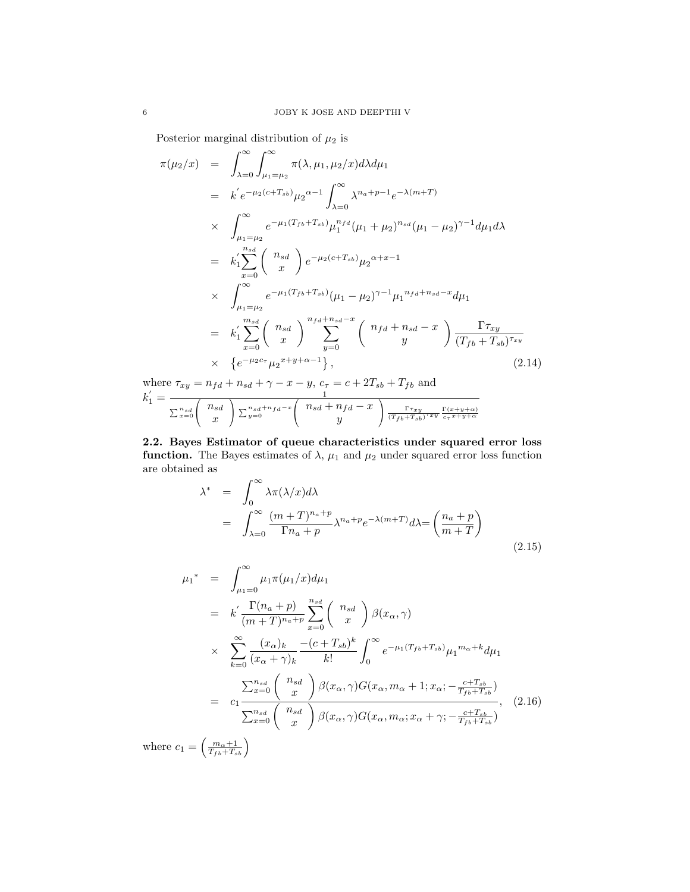Posterior marginal distribution of  $\mu_2$  is

$$
\pi(\mu_2/x) = \int_{\lambda=0}^{\infty} \int_{\mu_1=\mu_2}^{\infty} \pi(\lambda, \mu_1, \mu_2/x) d\lambda d\mu_1
$$
  
\n
$$
= k' e^{-\mu_2(c+T_{sb})} \mu_2^{\alpha-1} \int_{\lambda=0}^{\infty} \lambda^{n_a+p-1} e^{-\lambda(m+T)}
$$
  
\n
$$
\times \int_{\mu_1=\mu_2}^{\infty} e^{-\mu_1(T_{fb}+T_{sb})} \mu_1^{n_{fd}} (\mu_1+\mu_2)^{n_{sd}} (\mu_1-\mu_2)^{\gamma-1} d\mu_1 d\lambda
$$
  
\n
$$
= k'_1 \sum_{x=0}^{n_{sd}} \binom{n_{sd}}{x} e^{-\mu_2(c+T_{sb})} \mu_2^{\alpha+x-1}
$$
  
\n
$$
\times \int_{\mu_1=\mu_2}^{\infty} e^{-\mu_1(T_{fb}+T_{sb})} (\mu_1-\mu_2)^{\gamma-1} \mu_1^{n_{fd}+n_{sd}-x} d\mu_1
$$
  
\n
$$
= k'_1 \sum_{x=0}^{m_{sd}} \binom{n_{sd}}{x} \sum_{y=0}^{n_{fd}+n_{sd}-x} \binom{n_{fd}+n_{sd}-x}{y} \frac{\Gamma \tau_{xy}}{(T_{fb}+T_{sb})^{\tau_{xy}}}
$$
  
\n
$$
\times \{e^{-\mu_2 c_{\tau}} \mu_2^{x+y+\alpha-1}\}, \qquad (2.14)
$$

where  $\tau_{xy} = n_{fd} + n_{sd} + \gamma - x - y$ ,  $c_{\tau} = c + 2T_{sb} + T_{fb}$  and  $k_1' = \frac{1}{(n+1)(n+1)}$  $\sum_{x=0}^{n_{sd}}$  $\sqrt{ }$  $\begin{pmatrix} n_{sd} \\ r \end{pmatrix}$  $\boldsymbol{x}$  $\sum_{y=0}^{n_{sd}+n_{fd}-x}$  $\sqrt{ }$  $\begin{pmatrix} n_{sd} + n_{fd} - x \\ u \end{pmatrix}$  $\hat{y}$  $\left(\frac{\Gamma\tau_{xy}}{\left(T_{fb}+T_{sb}\right)^{\tau_{xy}}}\frac{\Gamma(x+y+\alpha)}{c_{\tau}x+y+\alpha}\right)$ 

2.2. Bayes Estimator of queue characteristics under squared error loss **function.** The Bayes estimates of  $\lambda$ ,  $\mu_1$  and  $\mu_2$  under squared error loss function are obtained as

$$
\lambda^* = \int_0^\infty \lambda \pi(\lambda/x) d\lambda
$$
  
= 
$$
\int_{\lambda=0}^\infty \frac{(m+T)^{n_a+p}}{\Gamma n_a+p} \lambda^{n_a+p} e^{-\lambda(m+T)} d\lambda = \left(\frac{n_a+p}{m+T}\right)
$$
 (2.15)

$$
\mu_{1}^{*} = \int_{\mu_{1}=0}^{\infty} \mu_{1}\pi(\mu_{1}/x)d\mu_{1}
$$
\n
$$
= k' \frac{\Gamma(n_{a} + p)}{(m+T)^{n_{a}+p}} \sum_{x=0}^{n_{sd}} {n_{sd} \choose x} \beta(x_{\alpha}, \gamma)
$$
\n
$$
\times \sum_{k=0}^{\infty} \frac{(x_{\alpha})_{k}}{(x_{\alpha} + \gamma)_{k}} \frac{-(c+T_{sb})^{k}}{k!} \int_{0}^{\infty} e^{-\mu_{1}(T_{fb}+T_{sb})} \mu_{1}^{m_{\alpha}+k} d\mu_{1}
$$
\n
$$
= \sum_{x=0}^{n_{sd}} {n_{sd} \choose x} \beta(x_{\alpha}, \gamma)G(x_{\alpha}, m_{\alpha}+1; x_{\alpha}; -\frac{c+T_{sb}}{T_{fb}+T_{sb}})
$$
\n
$$
\sum_{x=0}^{n_{sd}} {n_{sd} \choose x} \beta(x_{\alpha}, \gamma)G(x_{\alpha}, m_{\alpha}; x_{\alpha}+ \gamma; -\frac{c+T_{sb}}{T_{fb}+T_{sb}})
$$
\n
$$
(m+1)
$$
\n(12.16)

where  $c_1 = \left(\frac{m_\alpha + 1}{T_{fb} + T_{sb}}\right)$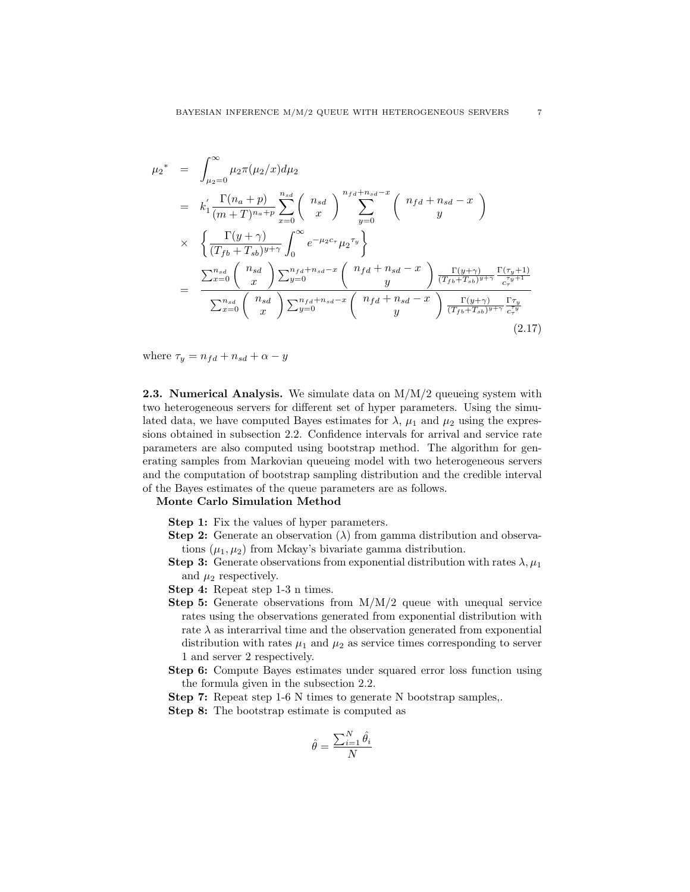$$
\mu_{2}^{*} = \int_{\mu_{2}=0}^{\infty} \mu_{2}\pi(\mu_{2}/x) d\mu_{2}
$$
\n
$$
= k_{1}^{\prime} \frac{\Gamma(n_{a} + p)}{(m + T)^{n_{a} + p}} \sum_{x=0}^{n_{sd}} \binom{n_{sd}}{x} \sum_{y=0}^{n_{fd} + n_{sd} - x} \binom{n_{fd} + n_{sd} - x}{y}
$$
\n
$$
\times \left\{ \frac{\Gamma(y + \gamma)}{(T_{fb} + T_{sb})^{y+\gamma}} \int_{0}^{\infty} e^{-\mu_{2}c_{\tau}} \mu_{2}^{\tau_{y}} \right\}
$$
\n
$$
= \frac{\sum_{x=0}^{n_{sd}} \binom{n_{sd}}{x} \sum_{y=0}^{n_{fd} + n_{sd} - x} \binom{n_{fd} + n_{sd} - x}{y} \frac{\Gamma(y + \gamma)}{(T_{fb} + T_{sb})^{y+\gamma}} \frac{\Gamma(\tau_{y} + 1)}{c_{\tau}^{\tau_{y} + 1}}}{\sum_{x=0}^{n_{sd}} \binom{n_{sd}}{x} \sum_{y=0}^{n_{fd} + n_{sd} - x} \binom{n_{fd} + n_{sd} - x}{y} \frac{\Gamma(y + \gamma)}{(T_{fb} + T_{sb})^{y+\gamma}} \frac{\Gamma\tau_{y}}{c_{\tau}^{\tau_{y}}}}
$$
\n(2.17)

where  $\tau_y = n_{fd} + n_{sd} + \alpha - y$ 

**2.3. Numerical Analysis.** We simulate data on  $M/M/2$  queueing system with two heterogeneous servers for different set of hyper parameters. Using the simulated data, we have computed Bayes estimates for  $\lambda$ ,  $\mu_1$  and  $\mu_2$  using the expressions obtained in subsection 2.2. Confidence intervals for arrival and service rate parameters are also computed using bootstrap method. The algorithm for generating samples from Markovian queueing model with two heterogeneous servers and the computation of bootstrap sampling distribution and the credible interval of the Bayes estimates of the queue parameters are as follows.

## Monte Carlo Simulation Method

- Step 1: Fix the values of hyper parameters.
- **Step 2:** Generate an observation ( $\lambda$ ) from gamma distribution and observations  $(\mu_1, \mu_2)$  from Mckay's bivariate gamma distribution.
- **Step 3:** Generate observations from exponential distribution with rates  $\lambda, \mu_1$ and  $\mu_2$  respectively.
- Step 4: Repeat step 1-3 n times.
- **Step 5:** Generate observations from  $M/M/2$  queue with unequal service rates using the observations generated from exponential distribution with rate  $\lambda$  as interarrival time and the observation generated from exponential distribution with rates  $\mu_1$  and  $\mu_2$  as service times corresponding to server 1 and server 2 respectively.
- Step 6: Compute Bayes estimates under squared error loss function using the formula given in the subsection 2.2.

Step 7: Repeat step 1-6 N times to generate N bootstrap samples,. Step 8: The bootstrap estimate is computed as

$$
\hat{\theta} = \frac{\sum_{i=1}^{N} \hat{\theta_i}}{N}
$$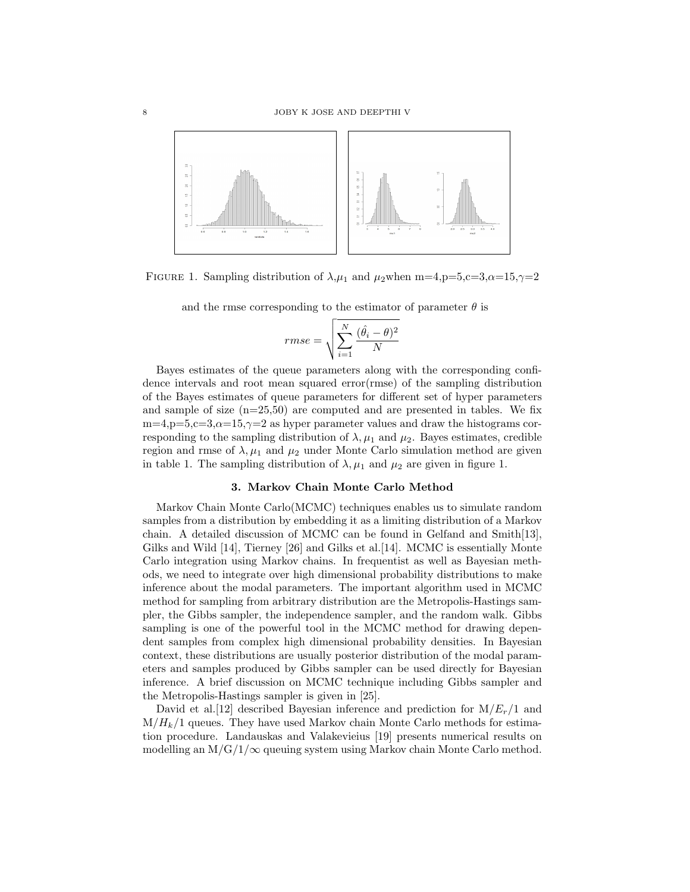

FIGURE 1. Sampling distribution of  $\lambda, \mu_1$  and  $\mu_2$ when m=4,p=5,c=3, $\alpha$ =15, $\gamma$ =2

and the rmse corresponding to the estimator of parameter  $\theta$  is

$$
rmse = \sqrt{\sum_{i=1}^{N} \frac{(\hat{\theta_i} - \theta)^2}{N}}
$$

Bayes estimates of the queue parameters along with the corresponding confidence intervals and root mean squared error(rmse) of the sampling distribution of the Bayes estimates of queue parameters for different set of hyper parameters and sample of size  $(n=25,50)$  are computed and are presented in tables. We fix  $m=4, p=5, c=3, \alpha=15, \gamma=2$  as hyper parameter values and draw the histograms corresponding to the sampling distribution of  $\lambda$ ,  $\mu_1$  and  $\mu_2$ . Bayes estimates, credible region and rmse of  $\lambda, \mu_1$  and  $\mu_2$  under Monte Carlo simulation method are given in table 1. The sampling distribution of  $\lambda$ ,  $\mu_1$  and  $\mu_2$  are given in figure 1.

## 3. Markov Chain Monte Carlo Method

Markov Chain Monte Carlo(MCMC) techniques enables us to simulate random samples from a distribution by embedding it as a limiting distribution of a Markov chain. A detailed discussion of MCMC can be found in Gelfand and Smith[13], Gilks and Wild [14], Tierney [26] and Gilks et al.[14]. MCMC is essentially Monte Carlo integration using Markov chains. In frequentist as well as Bayesian methods, we need to integrate over high dimensional probability distributions to make inference about the modal parameters. The important algorithm used in MCMC method for sampling from arbitrary distribution are the Metropolis-Hastings sampler, the Gibbs sampler, the independence sampler, and the random walk. Gibbs sampling is one of the powerful tool in the MCMC method for drawing dependent samples from complex high dimensional probability densities. In Bayesian context, these distributions are usually posterior distribution of the modal parameters and samples produced by Gibbs sampler can be used directly for Bayesian inference. A brief discussion on MCMC technique including Gibbs sampler and the Metropolis-Hastings sampler is given in [25].

David et al. [12] described Bayesian inference and prediction for  $M/E_r/1$  and  $M/H<sub>k</sub>/1$  queues. They have used Markov chain Monte Carlo methods for estimation procedure. Landauskas and Valakevieius [19] presents numerical results on modelling an  $M/G/1/\infty$  queuing system using Markov chain Monte Carlo method.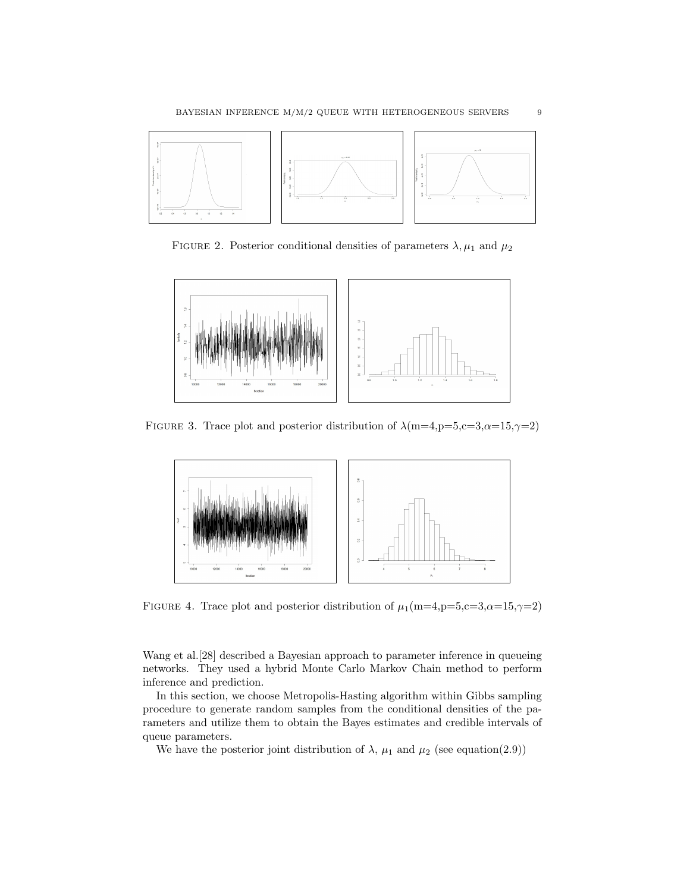

FIGURE 2. Posterior conditional densities of parameters  $\lambda, \mu_1$  and  $\mu_2$ 



FIGURE 3. Trace plot and posterior distribution of  $\lambda$ (m=4,p=5,c=3, $\alpha$ =15, $\gamma$ =2)



FIGURE 4. Trace plot and posterior distribution of  $\mu_1(m=4, p=5, c=3, \alpha=15, \gamma=2)$ 

Wang et al.[28] described a Bayesian approach to parameter inference in queueing networks. They used a hybrid Monte Carlo Markov Chain method to perform inference and prediction.

In this section, we choose Metropolis-Hasting algorithm within Gibbs sampling procedure to generate random samples from the conditional densities of the parameters and utilize them to obtain the Bayes estimates and credible intervals of queue parameters.

We have the posterior joint distribution of  $\lambda$ ,  $\mu_1$  and  $\mu_2$  (see equation(2.9))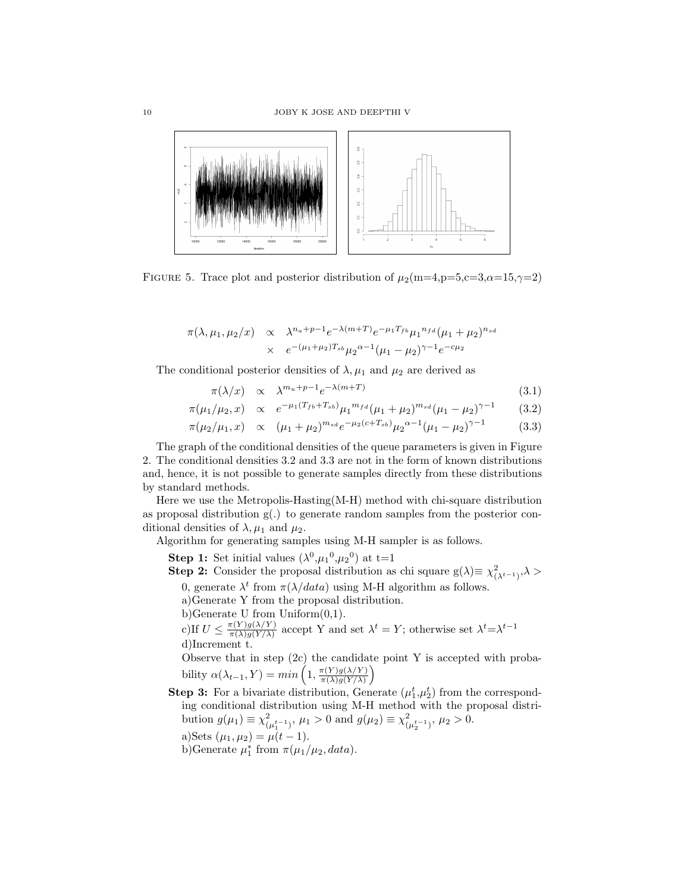

FIGURE 5. Trace plot and posterior distribution of  $\mu_2(m=4, p=5, c=3, \alpha=15, \gamma=2)$ 

$$
\pi(\lambda, \mu_1, \mu_2/x) \propto \lambda^{n_a+p-1} e^{-\lambda(m+T)} e^{-\mu_1 T_{fb}} \mu_1^{n_{fd}} (\mu_1 + \mu_2)^{n_{sd}}
$$
  
 
$$
\times e^{-(\mu_1 + \mu_2)T_{sb}} \mu_2^{\alpha-1} (\mu_1 - \mu_2)^{\gamma-1} e^{-c\mu_2}
$$

The conditional posterior densities of  $\lambda, \mu_1$  and  $\mu_2$  are derived as

$$
\pi(\lambda/x) \quad \propto \quad \lambda^{m_u+p-1} e^{-\lambda(m+T)} \tag{3.1}
$$

$$
\pi(\mu_1/\mu_2, x) \propto e^{-\mu_1(T_{fb} + T_{sb})} \mu_1^{m_{fd}} (\mu_1 + \mu_2)^{m_{sd}} (\mu_1 - \mu_2)^{\gamma - 1}
$$
 (3.2)

$$
\pi(\mu_2/\mu_1, x) \propto (\mu_1 + \mu_2)^{m_{sd}} e^{-\mu_2(c + T_{sb})} \mu_2^{\alpha - 1} (\mu_1 - \mu_2)^{\gamma - 1}
$$
\n(3.3)

The graph of the conditional densities of the queue parameters is given in Figure 2. The conditional densities 3.2 and 3.3 are not in the form of known distributions and, hence, it is not possible to generate samples directly from these distributions by standard methods.

Here we use the Metropolis-Hasting(M-H) method with chi-square distribution as proposal distribution  $g(.)$  to generate random samples from the posterior conditional densities of  $\lambda, \mu_1$  and  $\mu_2$ .

Algorithm for generating samples using M-H sampler is as follows.

**Step 1:** Set initial values  $(\lambda^0, \mu_1^0, \mu_2^0)$  at t=1

**Step 2:** Consider the proposal distribution as chi square  $g(\lambda) \equiv \chi^2_{(\lambda^{t-1})}, \lambda >$ 

0, generate  $\lambda^t$  from  $\pi(\lambda/data)$  using M-H algorithm as follows.

a)Generate Y from the proposal distribution.

b)Generate U from  $Uniform(0,1)$ .

c) If  $U \leq \frac{\pi(Y)g(\lambda/Y)}{\pi(\lambda)g(Y/\lambda)}$  $\frac{\pi(Y)g(\lambda/Y)}{\pi(\lambda)g(Y/\lambda)}$  accept Y and set  $\lambda^t = Y$ ; otherwise set  $\lambda^t = \lambda^{t-1}$ d)Increment t.

Observe that in step (2c) the candidate point Y is accepted with probability  $\alpha(\lambda_{t-1}, Y) = min\left(1, \frac{\pi(Y)g(\lambda/Y)}{\pi(\lambda)g(Y(\lambda))}\right)$  $\frac{\pi(Y)g(\lambda/Y)}{\pi(\lambda)g(Y/\lambda)}$ 

**Step 3:** For a bivariate distribution, Generate  $(\mu_1^t, \mu_2^t)$  from the corresponding conditional distribution using M-H method with the proposal distribution  $g(\mu_1) \equiv \chi^2$  $^{2}_{(\mu_{1}^{t-1})}, \mu_{1} > 0$  and  $g(\mu_{2}) \equiv \chi^{2}_{(\mu_{1}^{t-1})}$  $_{(\mu_2^{t-1})}^2$ ,  $\mu_2 > 0$ . a)Sets  $(\mu_1, \mu_2) = \mu(t-1)$ .

b)Generate  $\mu_1^*$  from  $\pi(\mu_1/\mu_2, data)$ .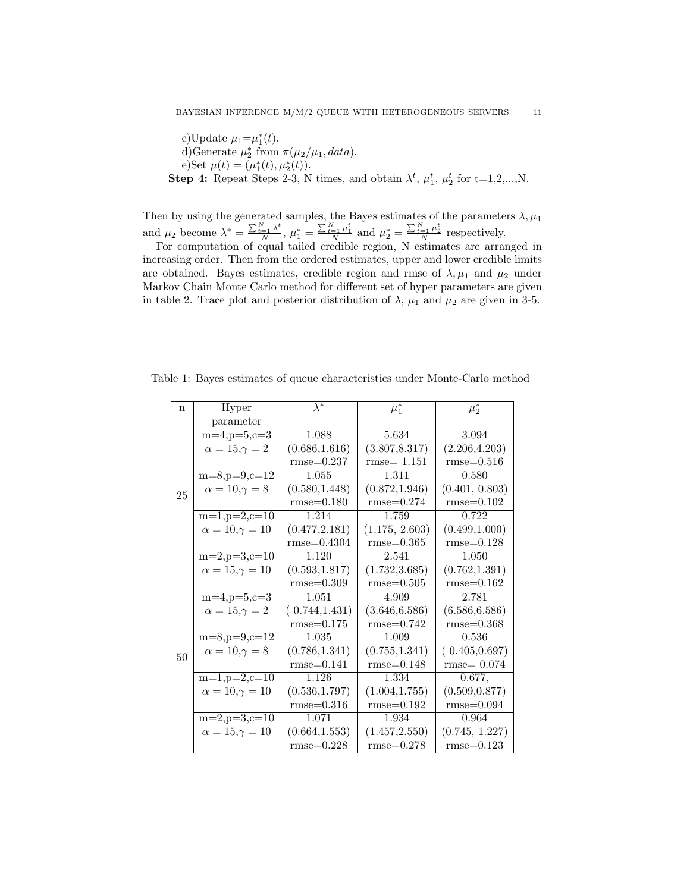c)Update  $\mu_1 = \mu_1^*(t)$ . d)Generate  $\mu_2^*$  from  $\pi(\mu_2/\mu_1, data)$ . e)Set  $\mu(t) = (\mu_1^*(t), \mu_2^*(t)).$ **Step 4:** Repeat Steps 2-3, N times, and obtain  $\lambda^t$ ,  $\mu_1^t$ ,  $\mu_2^t$  for t=1,2,...,N.

Then by using the generated samples, the Bayes estimates of the parameters  $\lambda, \mu_1$ and  $\mu_2$  become  $\lambda^* = \frac{\sum_{t=1}^{N} \lambda^t}{N}$  $\frac{N}{N}$ ,  $\mu_1^* = \frac{\sum_{t=1}^N \mu_1^t}{N}$  and  $\mu_2^* = \frac{\sum_{t=1}^N \mu_2^t}{N}$  respectively.

For computation of equal tailed credible region, N estimates are arranged in increasing order. Then from the ordered estimates, upper and lower credible limits are obtained. Bayes estimates, credible region and rmse of  $\lambda, \mu_1$  and  $\mu_2$  under Markov Chain Monte Carlo method for different set of hyper parameters are given in table 2. Trace plot and posterior distribution of  $\lambda$ ,  $\mu_1$  and  $\mu_2$  are given in 3-5.

Table 1: Bayes estimates of queue characteristics under Monte-Carlo method

| n  | Hyper                      | $\lambda^*$    | $\mu_1^*$      | $\mu_2^*$      |
|----|----------------------------|----------------|----------------|----------------|
|    | parameter                  |                |                |                |
| 25 | $m=4, p=5, c=3$            | 1.088          | 5.634          | 3.094          |
|    | $\alpha = 15, \gamma = 2$  | (0.686, 1.616) | (3.807, 8.317) | (2.206, 4.203) |
|    |                            | $rmse=0.237$   | $rmse=1.151$   | $rmse=0.516$   |
|    | $m=8, p=9, c=12$           | 1.055          | 1.311          | 0.580          |
|    | $\alpha = 10, \gamma = 8$  | (0.580, 1.448) | (0.872, 1.946) | (0.401, 0.803) |
|    |                            | $rmse=0.180$   | $rmse = 0.274$ | $rmse=0.102$   |
|    | $m=1, p=2, c=10$           | 1.214          | 1.759          | 0.722          |
|    | $\alpha = 10, \gamma = 10$ | (0.477, 2.181) | (1.175, 2.603) | (0.499, 1.000) |
|    |                            | $rmse=0.4304$  | $rmse = 0.365$ | $rmse=0.128$   |
|    | $m=2, p=3, c=10$           | 1.120          | 2.541          | 1.050          |
|    | $\alpha = 15, \gamma = 10$ | (0.593, 1.817) | (1.732, 3.685) | (0.762, 1.391) |
|    |                            | $rmse=0.309$   | $rmse=0.505$   | $rmse=0.162$   |
| 50 | $m=4, p=5, c=3$            | 1.051          | 4.909          | 2.781          |
|    | $\alpha = 15, \gamma = 2$  | (0.744, 1.431) | (3.646, 6.586) | (6.586, 6.586) |
|    |                            | $rmse=0.175$   | $rmse = 0.742$ | $rmse = 0.368$ |
|    | $m=8, p=9, c=12$           | 1.035          | 1.009          | 0.536          |
|    | $\alpha = 10, \gamma = 8$  | (0.786, 1.341) | (0.755, 1.341) | (0.405, 0.697) |
|    |                            | $rmse=0.141$   | $rmse=0.148$   | $rmse=0.074$   |
|    | $m=1, p=2, c=10$           | 1.126          | 1.334          | 0.677,         |
|    | $\alpha = 10, \gamma = 10$ | (0.536, 1.797) | (1.004, 1.755) | (0.509, 0.877) |
|    |                            | $rmse=0.316$   | $rmse=0.192$   | $rmse=0.094$   |
|    | $m=2, p=3, c=10$           | 1.071          | 1.934          | 0.964          |
|    | $\alpha = 15, \gamma = 10$ | (0.664, 1.553) | (1.457, 2.550) | (0.745, 1.227) |
|    |                            | $rmse=0.228$   | $rmse=0.278$   | $rmse=0.123$   |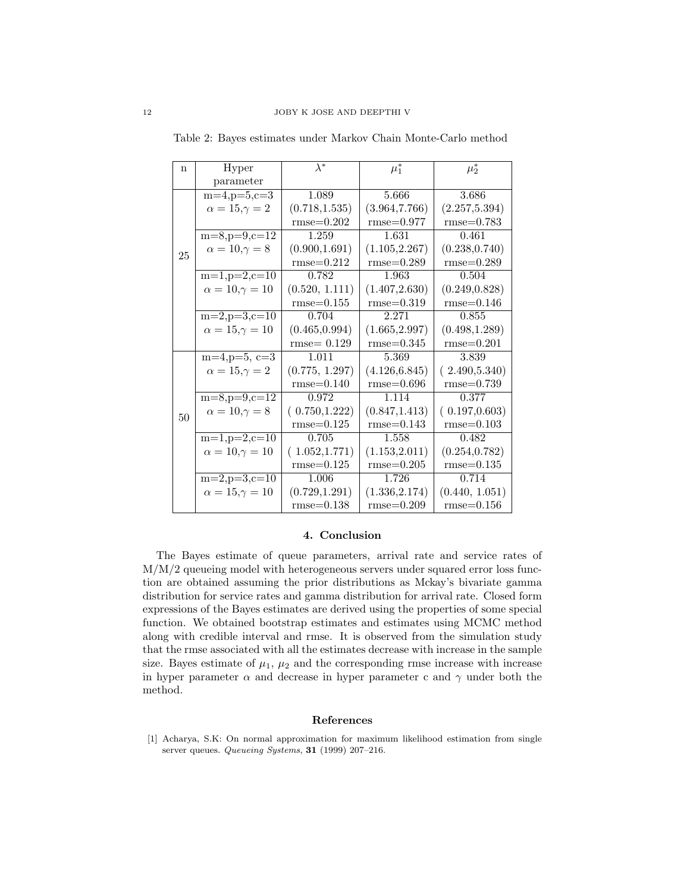| $\mathbf n$ | Hyper                      | $\lambda^*$    | $\mu_1^*$      | $\mu_2^*$      |
|-------------|----------------------------|----------------|----------------|----------------|
|             | parameter                  |                |                |                |
| 25          | $m=4, p=5, c=3$            | 1.089          | 5.666          | 3.686          |
|             | $\alpha = 15, \gamma = 2$  | (0.718, 1.535) | (3.964, 7.766) | (2.257, 5.394) |
|             |                            | $rmse=0.202$   | $rmse = 0.977$ | $rmse=0.783$   |
|             | $m=8, p=9, c=12$           | 1.259          | 1.631          | 0.461          |
|             | $\alpha = 10, \gamma = 8$  | (0.900, 1.691) | (1.105, 2.267) | (0.238, 0.740) |
|             |                            | $rmse=0.212$   | $rmse = 0.289$ | $rmse = 0.289$ |
|             | $m=1, p=2, c=10$           | 0.782          | 1.963          | 0.504          |
|             | $\alpha = 10, \gamma = 10$ | (0.520, 1.111) | (1.407, 2.630) | (0.249, 0.828) |
|             |                            | $rmse=0.155$   | $rmse=0.319$   | $rmse=0.146$   |
|             | $m=2, p=3, c=10$           | 0.704          | 2.271          | 0.855          |
|             | $\alpha = 15, \gamma = 10$ | (0.465, 0.994) | (1.665, 2.997) | (0.498, 1.289) |
|             |                            | $rmse=0.129$   | $rmse = 0.345$ | $rmse=0.201$   |
| 50          | $m=4, p=5, c=3$            | 1.011          | 5.369          | 3.839          |
|             | $\alpha = 15, \gamma = 2$  | (0.775, 1.297) | (4.126, 6.845) | (2.490, 5.340) |
|             |                            | $rmse=0.140$   | $rmse=0.696$   | $rmse=0.739$   |
|             | $m=8, p=9, c=12$           | 0.972          | 1.114          | 0.377          |
|             | $\alpha = 10, \gamma = 8$  | (0.750, 1.222) | (0.847, 1.413) | (0.197, 0.603) |
|             |                            | $rmse=0.125$   | $rmse=0.143$   | $rmse=0.103$   |
|             | $m=1, p=2, c=10$           | 0.705          | 1.558          | 0.482          |
|             | $\alpha = 10, \gamma = 10$ | (1.052, 1.771) | (1.153, 2.011) | (0.254, 0.782) |
|             |                            | $rmse=0.125$   | $rmse=0.205$   | $rmse=0.135$   |
|             | $m=2, p=3, c=10$           | 1.006          | 1.726          | 0.714          |
|             | $\alpha = 15, \gamma = 10$ | (0.729, 1.291) | (1.336, 2.174) | (0.440, 1.051) |
|             |                            | $rmse=0.138$   | $rmse=0.209$   | $rmse=0.156$   |

Table 2: Bayes estimates under Markov Chain Monte-Carlo method

### 4. Conclusion

The Bayes estimate of queue parameters, arrival rate and service rates of M/M/2 queueing model with heterogeneous servers under squared error loss function are obtained assuming the prior distributions as Mckay's bivariate gamma distribution for service rates and gamma distribution for arrival rate. Closed form expressions of the Bayes estimates are derived using the properties of some special function. We obtained bootstrap estimates and estimates using MCMC method along with credible interval and rmse. It is observed from the simulation study that the rmse associated with all the estimates decrease with increase in the sample size. Bayes estimate of  $\mu_1$ ,  $\mu_2$  and the corresponding rmse increase with increase in hyper parameter  $\alpha$  and decrease in hyper parameter c and  $\gamma$  under both the method.

## References

[1] Acharya, S.K: On normal approximation for maximum likelihood estimation from single server queues. Queueing Systems, 31 (1999) 207-216.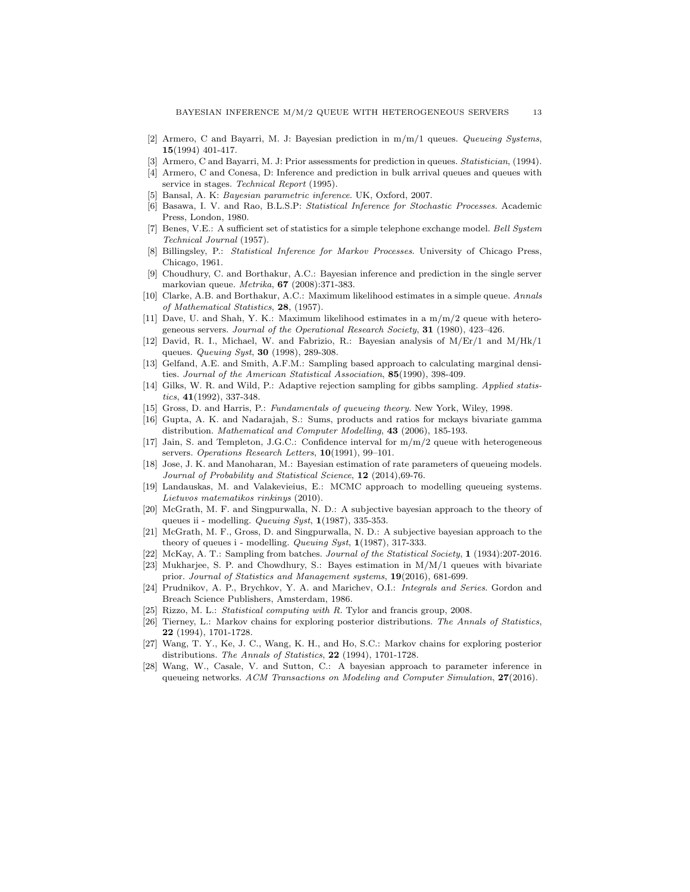- [2] Armero, C and Bayarri, M. J: Bayesian prediction in  $m/m/1$  queues. Queueing Systems, 15(1994) 401-417.
- [3] Armero, C and Bayarri, M. J: Prior assessments for prediction in queues. *Statistician*, (1994).
- [4] Armero, C and Conesa, D: Inference and prediction in bulk arrival queues and queues with service in stages. Technical Report (1995).
- [5] Bansal, A. K: Bayesian parametric inference. UK, Oxford, 2007.
- [6] Basawa, I. V. and Rao, B.L.S.P: Statistical Inference for Stochastic Processes. Academic Press, London, 1980.
- [7] Benes, V.E.: A sufficient set of statistics for a simple telephone exchange model. Bell System Technical Journal (1957).
- [8] Billingsley, P.: Statistical Inference for Markov Processes. University of Chicago Press, Chicago, 1961.
- [9] Choudhury, C. and Borthakur, A.C.: Bayesian inference and prediction in the single server markovian queue. Metrika, 67 (2008):371-383.
- [10] Clarke, A.B. and Borthakur, A.C.: Maximum likelihood estimates in a simple queue. Annals of Mathematical Statistics, 28, (1957).
- [11] Dave, U. and Shah, Y. K.: Maximum likelihood estimates in a m/m/2 queue with heterogeneous servers. Journal of the Operational Research Society, 31 (1980), 423–426.
- [12] David, R. I., Michael, W. and Fabrizio, R.: Bayesian analysis of M/Er/1 and M/Hk/1 queues. *Queuing Syst*, **30** (1998), 289-308.
- [13] Gelfand, A.E. and Smith, A.F.M.: Sampling based approach to calculating marginal densities. Journal of the American Statistical Association, 85(1990), 398-409.
- [14] Gilks, W. R. and Wild, P.: Adaptive rejection sampling for gibbs sampling. Applied statis $tics, 41(1992), 337-348.$
- [15] Gross, D. and Harris, P.: Fundamentals of queueing theory. New York, Wiley, 1998.
- [16] Gupta, A. K. and Nadarajah, S.: Sums, products and ratios for mckays bivariate gamma distribution. Mathematical and Computer Modelling, 43 (2006), 185-193.
- [17] Jain, S. and Templeton, J.G.C.: Confidence interval for m/m/2 queue with heterogeneous servers. Operations Research Letters, 10(1991), 99-101.
- [18] Jose, J. K. and Manoharan, M.: Bayesian estimation of rate parameters of queueing models. Journal of Probability and Statistical Science, 12 (2014), 69-76.
- [19] Landauskas, M. and Valakevieius, E.: MCMC approach to modelling queueing systems. Lietuvos matematikos rinkinys (2010).
- [20] McGrath, M. F. and Singpurwalla, N. D.: A subjective bayesian approach to the theory of queues ii - modelling. Queuing Syst, 1(1987), 335-353.
- [21] McGrath, M. F., Gross, D. and Singpurwalla, N. D.: A subjective bayesian approach to the theory of queues i - modelling. Queuing Syst,  $1(1987)$ , 317-333.
- [22] McKay, A. T.: Sampling from batches. Journal of the Statistical Society, 1 (1934):207-2016.
- [23] Mukharjee, S. P. and Chowdhury, S.: Bayes estimation in M/M/1 queues with bivariate
- prior. Journal of Statistics and Management systems,  $19(2016)$ , 681-699. [24] Prudnikov, A. P., Brychkov, Y. A. and Marichev, O.I.: Integrals and Series. Gordon and Breach Science Publishers, Amsterdam, 1986.
- [25] Rizzo, M. L.: Statistical computing with R. Tylor and francis group, 2008.
- [26] Tierney, L.: Markov chains for exploring posterior distributions. The Annals of Statistics, 22 (1994), 1701-1728.
- [27] Wang, T. Y., Ke, J. C., Wang, K. H., and Ho, S.C.: Markov chains for exploring posterior distributions. The Annals of Statistics, 22 (1994), 1701-1728.
- [28] Wang, W., Casale, V. and Sutton, C.: A bayesian approach to parameter inference in queueing networks. ACM Transactions on Modeling and Computer Simulation, 27(2016).